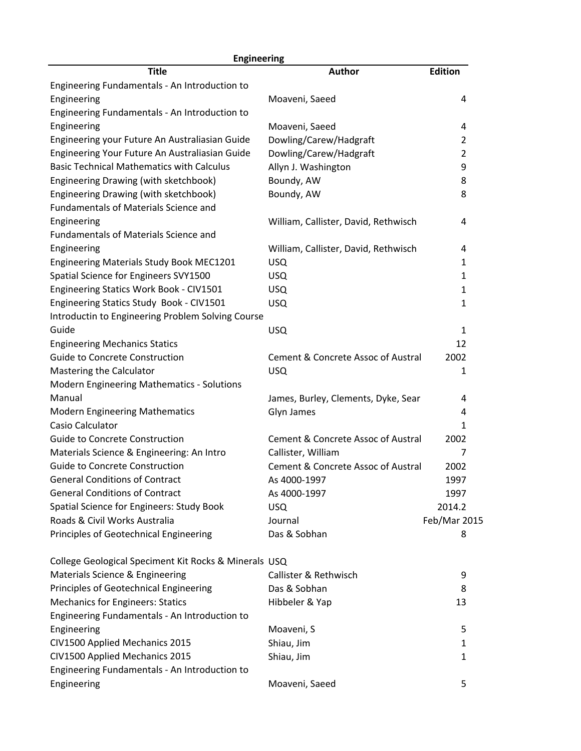| <b>Engineering</b>                                    |                                               |                |  |
|-------------------------------------------------------|-----------------------------------------------|----------------|--|
| <b>Title</b>                                          | <b>Author</b>                                 | <b>Edition</b> |  |
| Engineering Fundamentals - An Introduction to         |                                               |                |  |
| Engineering                                           | Moaveni, Saeed                                | 4              |  |
| Engineering Fundamentals - An Introduction to         |                                               |                |  |
| Engineering                                           | Moaveni, Saeed                                | 4              |  |
| Engineering your Future An Australiasian Guide        | Dowling/Carew/Hadgraft                        | $\overline{2}$ |  |
| Engineering Your Future An Australiasian Guide        | Dowling/Carew/Hadgraft                        | $\overline{2}$ |  |
| <b>Basic Technical Mathematics with Calculus</b>      | Allyn J. Washington                           | 9              |  |
| Engineering Drawing (with sketchbook)                 | Boundy, AW                                    | 8              |  |
| Engineering Drawing (with sketchbook)                 | Boundy, AW                                    | 8              |  |
| Fundamentals of Materials Science and                 |                                               |                |  |
| Engineering                                           | William, Callister, David, Rethwisch          | 4              |  |
| Fundamentals of Materials Science and                 |                                               |                |  |
| Engineering                                           | William, Callister, David, Rethwisch          | 4              |  |
| Engineering Materials Study Book MEC1201              | <b>USQ</b>                                    | 1              |  |
| Spatial Science for Engineers SVY1500                 | <b>USQ</b>                                    | 1              |  |
| Engineering Statics Work Book - CIV1501               | <b>USQ</b>                                    | 1              |  |
| Engineering Statics Study Book - CIV1501              | <b>USQ</b>                                    | 1              |  |
| Introductin to Engineering Problem Solving Course     |                                               |                |  |
| Guide                                                 | <b>USQ</b>                                    | $\mathbf{1}$   |  |
| <b>Engineering Mechanics Statics</b>                  |                                               | 12             |  |
| <b>Guide to Concrete Construction</b>                 | <b>Cement &amp; Concrete Assoc of Austral</b> | 2002           |  |
| Mastering the Calculator                              | <b>USQ</b>                                    | 1              |  |
| <b>Modern Engineering Mathematics - Solutions</b>     |                                               |                |  |
| Manual                                                | James, Burley, Clements, Dyke, Sear           | 4              |  |
| <b>Modern Engineering Mathematics</b>                 | Glyn James                                    | 4              |  |
| Casio Calculator                                      |                                               | 1              |  |
| Guide to Concrete Construction                        | <b>Cement &amp; Concrete Assoc of Austral</b> | 2002           |  |
| Materials Science & Engineering: An Intro             | Callister, William                            | 7              |  |
| Guide to Concrete Construction                        | Cement & Concrete Assoc of Austral            | 2002           |  |
| <b>General Conditions of Contract</b>                 | As 4000-1997                                  | 1997           |  |
| <b>General Conditions of Contract</b>                 | As 4000-1997                                  | 1997           |  |
| Spatial Science for Engineers: Study Book             | <b>USQ</b>                                    | 2014.2         |  |
| Roads & Civil Works Australia                         | Journal                                       | Feb/Mar 2015   |  |
| Principles of Geotechnical Engineering                | Das & Sobhan                                  | 8              |  |
| College Geological Speciment Kit Rocks & Minerals USQ |                                               |                |  |
| Materials Science & Engineering                       | Callister & Rethwisch                         | 9              |  |
| Principles of Geotechnical Engineering                | Das & Sobhan                                  | 8              |  |
| <b>Mechanics for Engineers: Statics</b>               | Hibbeler & Yap                                | 13             |  |
| Engineering Fundamentals - An Introduction to         |                                               |                |  |
| Engineering                                           | Moaveni, S                                    | 5              |  |
| CIV1500 Applied Mechanics 2015                        | Shiau, Jim                                    | 1              |  |
| CIV1500 Applied Mechanics 2015                        | Shiau, Jim                                    | 1              |  |
| Engineering Fundamentals - An Introduction to         |                                               |                |  |
| Engineering                                           | Moaveni, Saeed                                | 5              |  |
|                                                       |                                               |                |  |